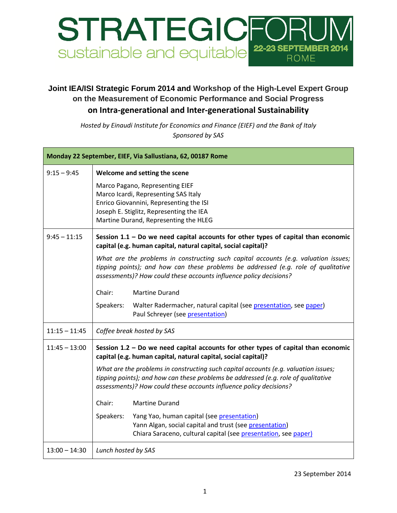

## **Joint IEA/ISI Strategic Forum 2014 and Workshop of the High-Level Expert Group on the Measurement of Economic Performance and Social Progress on Intra-generational and Inter-generational Sustainability**

*Hosted by Einaudi Institute for Economics and Finance (EIEF) and the Bank of Italy Sponsored by SAS*

| Monday 22 September, EIEF, Via Sallustiana, 62, 00187 Rome |                                                                                                                                                                                                                                                 |  |
|------------------------------------------------------------|-------------------------------------------------------------------------------------------------------------------------------------------------------------------------------------------------------------------------------------------------|--|
| $9:15 - 9:45$                                              | Welcome and setting the scene                                                                                                                                                                                                                   |  |
|                                                            | Marco Pagano, Representing EIEF<br>Marco Icardi, Representing SAS Italy<br>Enrico Giovannini, Representing the ISI<br>Joseph E. Stiglitz, Representing the IEA<br>Martine Durand, Representing the HLEG                                         |  |
| $9:45 - 11:15$                                             | Session $1.1$ – Do we need capital accounts for other types of capital than economic<br>capital (e.g. human capital, natural capital, social capital)?                                                                                          |  |
|                                                            | What are the problems in constructing such capital accounts (e.g. valuation issues;<br>tipping points); and how can these problems be addressed (e.g. role of qualitative<br>assessments)? How could these accounts influence policy decisions? |  |
|                                                            | Chair:<br><b>Martine Durand</b>                                                                                                                                                                                                                 |  |
|                                                            | Walter Radermacher, natural capital (see presentation, see paper)<br>Speakers:<br>Paul Schreyer (see presentation)                                                                                                                              |  |
| $11:15 - 11:45$                                            | Coffee break hosted by SAS                                                                                                                                                                                                                      |  |
| $11:45 - 13:00$                                            | Session $1.2$ – Do we need capital accounts for other types of capital than economic<br>capital (e.g. human capital, natural capital, social capital)?                                                                                          |  |
|                                                            | What are the problems in constructing such capital accounts (e.g. valuation issues;<br>tipping points); and how can these problems be addressed (e.g. role of qualitative<br>assessments)? How could these accounts influence policy decisions? |  |
|                                                            | Chair:<br><b>Martine Durand</b>                                                                                                                                                                                                                 |  |
|                                                            | Speakers:<br>Yang Yao, human capital (see presentation)<br>Yann Algan, social capital and trust (see presentation)<br>Chiara Saraceno, cultural capital (see presentation, see paper)                                                           |  |
| $13:00 - 14:30$                                            | Lunch hosted by SAS                                                                                                                                                                                                                             |  |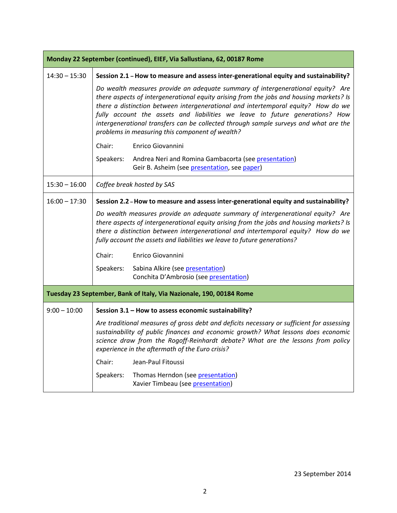| Monday 22 September (continued), EIEF, Via Sallustiana, 62, 00187 Rome |                                                                                                                                                                                                                                                                                                                                                                                                                                                                                            |  |
|------------------------------------------------------------------------|--------------------------------------------------------------------------------------------------------------------------------------------------------------------------------------------------------------------------------------------------------------------------------------------------------------------------------------------------------------------------------------------------------------------------------------------------------------------------------------------|--|
| $14:30 - 15:30$                                                        | Session 2.1 - How to measure and assess inter-generational equity and sustainability?                                                                                                                                                                                                                                                                                                                                                                                                      |  |
|                                                                        | Do wealth measures provide an adequate summary of intergenerational equity? Are<br>there aspects of intergenerational equity arising from the jobs and housing markets? Is<br>there a distinction between intergenerational and intertemporal equity? How do we<br>fully account the assets and liabilities we leave to future generations? How<br>intergenerational transfers can be collected through sample surveys and what are the<br>problems in measuring this component of wealth? |  |
|                                                                        | Chair:<br>Enrico Giovannini                                                                                                                                                                                                                                                                                                                                                                                                                                                                |  |
|                                                                        | Andrea Neri and Romina Gambacorta (see presentation)<br>Speakers:<br>Geir B. Asheim (see presentation, see paper)                                                                                                                                                                                                                                                                                                                                                                          |  |
| $15:30 - 16:00$                                                        | Coffee break hosted by SAS                                                                                                                                                                                                                                                                                                                                                                                                                                                                 |  |
| $16:00 - 17:30$                                                        | Session 2.2 - How to measure and assess inter-generational equity and sustainability?                                                                                                                                                                                                                                                                                                                                                                                                      |  |
|                                                                        | Do wealth measures provide an adequate summary of intergenerational equity? Are<br>there aspects of intergenerational equity arising from the jobs and housing markets? Is<br>there a distinction between intergenerational and intertemporal equity? How do we<br>fully account the assets and liabilities we leave to future generations?                                                                                                                                                |  |
|                                                                        | Chair:<br>Enrico Giovannini                                                                                                                                                                                                                                                                                                                                                                                                                                                                |  |
|                                                                        | Sabina Alkire (see presentation)<br>Speakers:<br>Conchita D'Ambrosio (see presentation)                                                                                                                                                                                                                                                                                                                                                                                                    |  |
| Tuesday 23 September, Bank of Italy, Via Nazionale, 190, 00184 Rome    |                                                                                                                                                                                                                                                                                                                                                                                                                                                                                            |  |
| $9:00 - 10:00$                                                         | Session 3.1 - How to assess economic sustainability?                                                                                                                                                                                                                                                                                                                                                                                                                                       |  |
|                                                                        | Are traditional measures of gross debt and deficits necessary or sufficient for assessing<br>sustainability of public finances and economic growth? What lessons does economic<br>science draw from the Rogoff-Reinhardt debate? What are the lessons from policy<br>experience in the aftermath of the Euro crisis?                                                                                                                                                                       |  |
|                                                                        | Chair:<br>Jean-Paul Fitoussi                                                                                                                                                                                                                                                                                                                                                                                                                                                               |  |
|                                                                        | Speakers:<br>Thomas Herndon (see presentation)<br>Xavier Timbeau (see presentation)                                                                                                                                                                                                                                                                                                                                                                                                        |  |